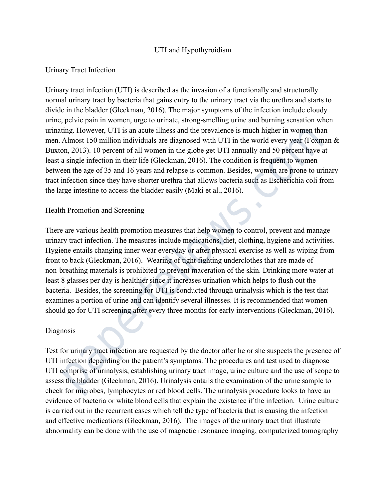## UTI and Hypothyroidism

## Urinary Tract Infection

Urinary tract infection (UTI) is described as the invasion of a functionally and structurally normal urinary tract by bacteria that gains entry to the urinary tract via the urethra and starts to divide in the bladder (Gleckman, 2016). The major symptoms of the infection include cloudy urine, pelvic pain in women, urge to urinate, strong-smelling urine and burning sensation when urinating. However, UTI is an acute illness and the prevalence is much higher in women than men. Almost 150 million individuals are diagnosed with UTI in the world every year (Foxman & Buxton, 2013). 10 percent of all women in the globe get UTI annually and 50 percent have at least a single infection in their life (Gleckman, 2016). The condition is frequent to women between the age of 35 and 16 years and relapse is common. Besides, women are prone to urinary tract infection since they have shorter urethra that allows bacteria such as Escherichia coli from the large intestine to access the bladder easily (Maki et al., 2016).

## Health Promotion and Screening

There are various health promotion measures that help women to control, prevent and manage urinary tract infection. The measures include medications, diet, clothing, hygiene and activities. Hygiene entails changing inner wear everyday or after physical exercise as well as wiping from front to back (Gleckman, 2016). Wearing of tight fighting underclothes that are made of non-breathing materials is prohibited to prevent maceration of the skin. Drinking more water at least 8 glasses per day is healthier since it increases urination which helps to flush out the bacteria. Besides, the screening for UTI is conducted through urinalysis which is the test that examines a portion of urine and can identify several illnesses. It is recommended that women should go for UTI screening after every three months for early interventions (Gleckman, 2016). Ing. However, UTT is an active limes and the prevalence is much paper in women tan<br>Almost 150 million individuals are diagnosed with UTT in the world every year (Foxnor, 2013). 10 percent of all women in the globe get UTI

#### Diagnosis

Test for urinary tract infection are requested by the doctor after he or she suspects the presence of UTI infection depending on the patient's symptoms. The procedures and test used to diagnose UTI comprise of urinalysis, establishing urinary tract image, urine culture and the use of scope to assess the bladder (Gleckman, 2016). Urinalysis entails the examination of the urine sample to check for microbes, lymphocytes or red blood cells. The urinalysis procedure looks to have an evidence of bacteria or white blood cells that explain the existence if the infection. Urine culture is carried out in the recurrent cases which tell the type of bacteria that is causing the infection and effective medications (Gleckman, 2016). The images of the urinary tract that illustrate abnormality can be done with the use of magnetic resonance imaging, computerized tomography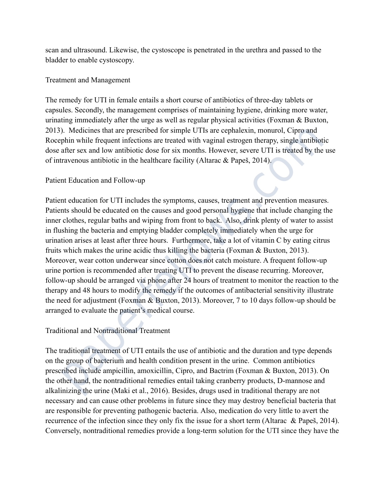scan and ultrasound. Likewise, the cystoscope is penetrated in the urethra and passed to the bladder to enable cystoscopy.

# Treatment and Management

The remedy for UTI in female entails a short course of antibiotics of three-day tablets or capsules. Secondly, the management comprises of maintaining hygiene, drinking more water, urinating immediately after the urge as well as regular physical activities (Foxman & Buxton, 2013). Medicines that are prescribed for simple UTIs are cephalexin, monurol, Cipro and Rocephin while frequent infections are treated with vaginal estrogen therapy, single antibiotic dose after sex and low antibiotic dose for six months. However, severe UTI is treated by the use of intravenous antibiotic in the healthcare facility (Altarac & Papeš, 2014).

## Patient Education and Follow-up

Patient education for UTI includes the symptoms, causes, treatment and prevention measures. Patients should be educated on the causes and good personal hygiene that include changing the inner clothes, regular baths and wiping from front to back. Also, drink plenty of water to assist in flushing the bacteria and emptying bladder completely immediately when the urge for urination arises at least after three hours. Furthermore, take a lot of vitamin C by eating citrus fruits which makes the urine acidic thus killing the bacteria (Foxman & Buxton, 2013). Moreover, wear cotton underwear since cotton does not catch moisture. A frequent follow-up urine portion is recommended after treating UTI to prevent the disease recurring. Moreover, follow-up should be arranged via phone after 24 hours of treatment to monitor the reaction to the therapy and 48 hours to modify the remedy if the outcomes of antibacterial sensitivity illustrate the need for adjustment (Foxman & Buxton, 2013). Moreover, 7 to 10 days follow-up should be arranged to evaluate the patient's medical course. between that are prescribed to simple O I is are equatastin, monitor, Cupyo and Ab the mean the denoted or simple in the denoted and low antibiotic dose for six months. However, severe UT1 is treated by the may not alter

# Traditional and Nontraditional Treatment

The traditional treatment of UTI entails the use of antibiotic and the duration and type depends on the group of bacterium and health condition present in the urine. Common antibiotics prescribed include ampicillin, amoxicillin, Cipro, and Bactrim (Foxman & Buxton, 2013). On the other hand, the nontraditional remedies entail taking cranberry products, D-mannose and alkalinizing the urine (Maki et al., 2016). Besides, drugs used in traditional therapy are not necessary and can cause other problems in future since they may destroy beneficial bacteria that are responsible for preventing pathogenic bacteria. Also, medication do very little to avert the recurrence of the infection since they only fix the issue for a short term (Altarac & Papeš, 2014). Conversely, nontraditional remedies provide a long-term solution for the UTI since they have the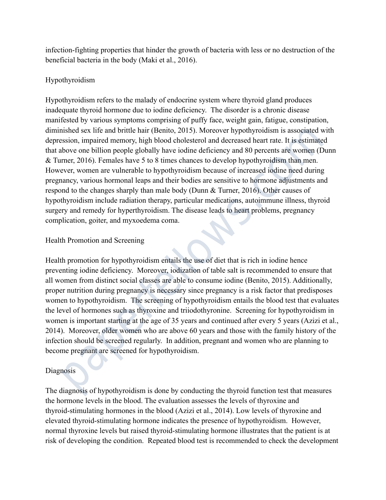infection-fighting properties that hinder the growth of bacteria with less or no destruction of the beneficial bacteria in the body (Maki et al., 2016).

# Hypothyroidism

Hypothyroidism refers to the malady of endocrine system where thyroid gland produces inadequate thyroid hormone due to iodine deficiency. The disorder is a chronic disease manifested by various symptoms comprising of puffy face, weight gain, fatigue, constipation, diminished sex life and brittle hair (Benito, 2015). Moreover hypothyroidism is associated with depression, impaired memory, high blood cholesterol and decreased heart rate. It is estimated that above one billion people globally have iodine deficiency and 80 percents are women (Dunn & Turner, 2016). Females have 5 to 8 times chances to develop hypothyroidism than men. However, women are vulnerable to hypothyroidism because of increased iodine need during pregnancy, various hormonal leaps and their bodies are sensitive to hormone adjustments and respond to the changes sharply than male body (Dunn & Turner, 2016). Other causes of hypothyroidism include radiation therapy, particular medications, autoimmune illness, thyroid surgery and remedy for hyperthyroidism. The disease leads to heart problems, pregnancy complication, goiter, and myxoedema coma.

# Health Promotion and Screening

Health promotion for hypothyroidism entails the use of diet that is rich in iodine hence preventing iodine deficiency. Moreover, iodization of table salt is recommended to ensure that all women from distinct social classes are able to consume iodine (Benito, 2015). Additionally, proper nutrition during pregnancy is necessary since pregnancy is a risk factor that predisposes women to hypothyroidism. The screening of hypothyroidism entails the blood test that evaluates the level of hormones such as thyroxine and triiodothyronine. Screening for hypothyroidism in women is important starting at the age of 35 years and continued after every 5 years (Azizi et al., 2014). Moreover, older women who are above 60 years and those with the family history of the infection should be screened regularly. In addition, pregnant and women who are planning to become pregnant are screened for hypothyroidism. issied sex life and britte harif (pentic). 2015). Moreover hyponyronials associated<br>sission, impaired memory, high blood cholesterol and decreased heart rate. It is estimate<br>bowe one billion people globally have iodine def

# Diagnosis

The diagnosis of hypothyroidism is done by conducting the thyroid function test that measures the hormone levels in the blood. The evaluation assesses the levels of thyroxine and thyroid-stimulating hormones in the blood (Azizi et al., 2014). Low levels of thyroxine and elevated thyroid-stimulating hormone indicates the presence of hypothyroidism. However, normal thyroxine levels but raised thyroid-stimulating hormone illustrates that the patient is at risk of developing the condition. Repeated blood test is recommended to check the development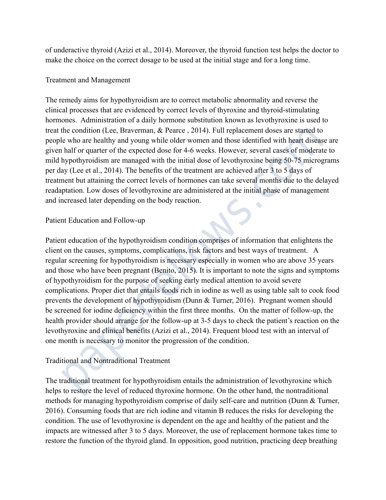of underactive thyroid (Azizi et al., 2014). Moreover, the thyroid function test helps the doctor to make the choice on the correct dosage to be used at the initial stage and for a long time.

# Treatment and Management

The remedy aims for hypothyroidism are to correct metabolic abnormality and reverse the clinical processes that are evidenced by correct levels of thyroxine and thyroid-stimulating hormones. Administration of a daily hormone substitution known as levothyroxine is used to treat the condition (Lee, Braverman, & Pearce , 2014). Full replacement doses are started to people who are healthy and young while older women and those identified with heart disease are given half or quarter of the expected dose for 4-6 weeks. However, several cases of moderate to mild hypothyroidism are managed with the initial dose of levothyroxine being 50-75 micrograms per day (Lee et al., 2014). The benefits of the treatment are achieved after 3 to 5 days of treatment but attaining the correct levels of hormones can take several months due to the delayed readaptation. Low doses of levothyroxine are administered at the initial phase of management and increased later depending on the body reaction.

# Patient Education and Follow-up

Patient education of the hypothyroidism condition comprises of information that enlightens the client on the causes, symptoms, complications, risk factors and best ways of treatment. A regular screening for hypothyroidism is necessary especially in women who are above 35 years and those who have been pregnant (Benito, 2015). It is important to note the signs and symptoms of hypothyroidism for the purpose of seeking early medical attention to avoid severe complications. Proper diet that entails foods rich in iodine as well as using table salt to cook food prevents the development of hypothyroidism (Dunn & Turner, 2016). Pregnant women should be screened for iodine deficiency within the first three months. On the matter of follow-up, the health provider should arrange for the follow-up at 3-5 days to check the patient's reaction on the levothyroxine and clinical benefits (Azizi et al., 2014). Frequent blood test with an interval of one month is necessary to monitor the progression of the condition. me conduitor (Lee, Braveman, & Pearce, 2014). Full replacement cooss are stated to thos the whol are the level of the expected dose for 4-6 weeks. However, several cases of moderation half or quarter of the expected dose f

# Traditional and Nontraditional Treatment

The traditional treatment for hypothyroidism entails the administration of levothyroxine which helps to restore the level of reduced thyroxine hormone. On the other hand, the nontraditional methods for managing hypothyroidism comprise of daily self-care and nutrition (Dunn & Turner, 2016). Consuming foods that are rich iodine and vitamin B reduces the risks for developing the condition. The use of levothyroxine is dependent on the age and healthy of the patient and the impacts are witnessed after 3 to 5 days. Moreover, the use of replacement hormone takes time to restore the function of the thyroid gland. In opposition, good nutrition, practicing deep breathing